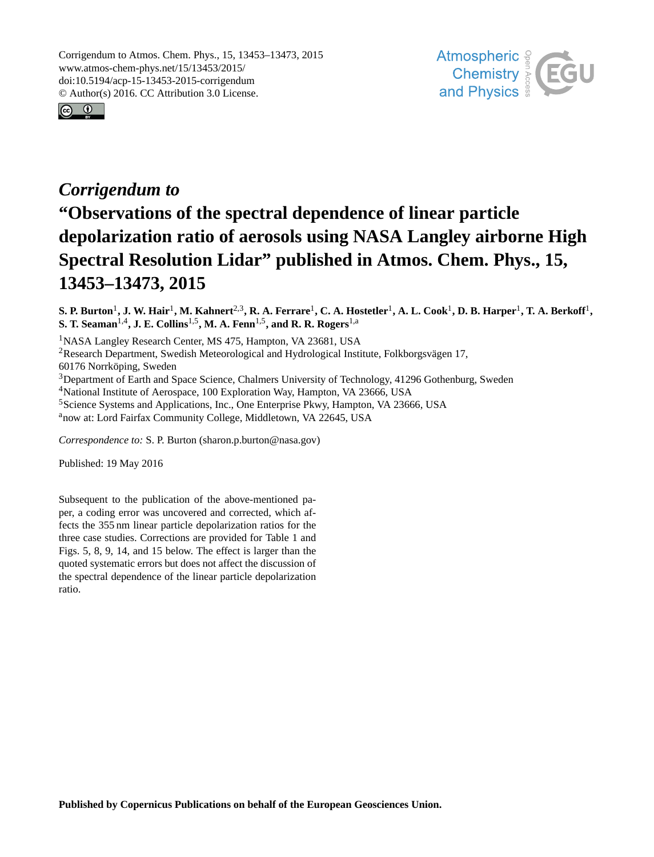



## *Corrigendum to* **"Observations of the spectral dependence of linear particle depolarization ratio of aerosols using NASA Langley airborne High Spectral Resolution Lidar" published in Atmos. Chem. Phys., 15, 13453–13473, 2015**

 ${\bf S.}$  P. Burton<sup>1</sup>, J. W. Hair<sup>1</sup>, M. Kahnert<sup>2,3</sup>, R. A. Ferrare<sup>1</sup>, C. A. Hostetler<sup>1</sup>, A. L. Cook<sup>1</sup>, D. B. Harper<sup>1</sup>, T. A. Berkoff<sup>1</sup>, **S. T. Seaman**1,4**, J. E. Collins**1,5**, M. A. Fenn**1,5**, and R. R. Rogers**1,a

<sup>1</sup>NASA Langley Research Center, MS 475, Hampton, VA 23681, USA

<sup>2</sup>Research Department, Swedish Meteorological and Hydrological Institute, Folkborgsvägen 17,

60176 Norrköping, Sweden

<sup>3</sup>Department of Earth and Space Science, Chalmers University of Technology, 41296 Gothenburg, Sweden

<sup>4</sup>National Institute of Aerospace, 100 Exploration Way, Hampton, VA 23666, USA

<sup>5</sup>Science Systems and Applications, Inc., One Enterprise Pkwy, Hampton, VA 23666, USA

<sup>a</sup>now at: Lord Fairfax Community College, Middletown, VA 22645, USA

*Correspondence to:* S. P. Burton (sharon.p.burton@nasa.gov)

Published: 19 May 2016

Subsequent to the publication of the above-mentioned paper, a coding error was uncovered and corrected, which affects the 355 nm linear particle depolarization ratios for the three case studies. Corrections are provided for Table 1 and Figs. 5, 8, 9, 14, and 15 below. The effect is larger than the quoted systematic errors but does not affect the discussion of the spectral dependence of the linear particle depolarization ratio.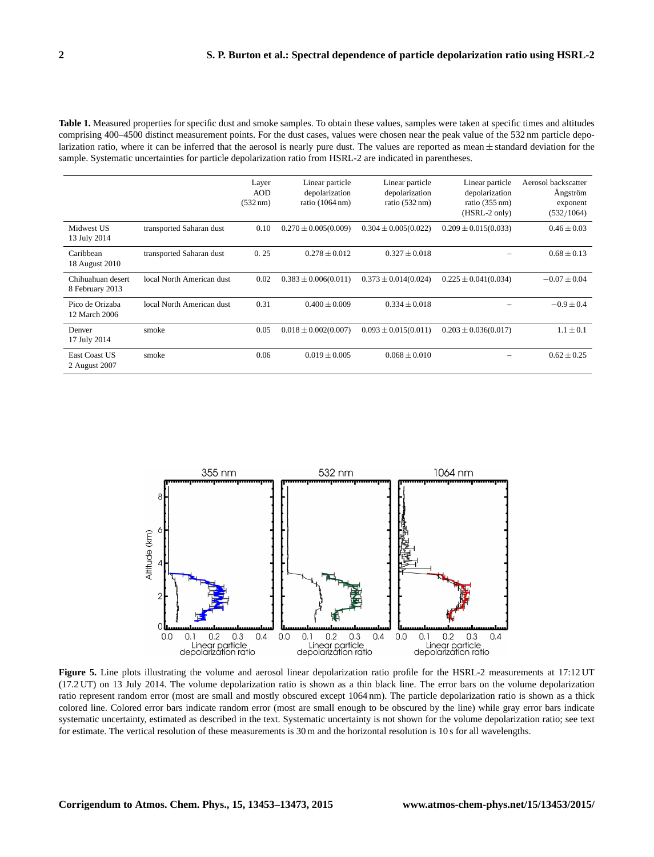**Table 1.** Measured properties for specific dust and smoke samples. To obtain these values, samples were taken at specific times and altitudes comprising 400–4500 distinct measurement points. For the dust cases, values were chosen near the peak value of the 532 nm particle depolarization ratio, where it can be inferred that the aerosol is nearly pure dust. The values are reported as mean  $\pm$  standard deviation for the sample. Systematic uncertainties for particle depolarization ratio from HSRL-2 are indicated in parentheses.

|                                      |                           | Layer<br><b>AOD</b><br>$(532 \text{ nm})$ | Linear particle<br>depolarization<br>ratio $(1064 \text{ nm})$ | Linear particle<br>depolarization<br>ratio $(532 \text{ nm})$ | Linear particle<br>depolarization<br>ratio $(355 \text{ nm})$<br>(HSRL-2 only) | Aerosol backscatter<br>Ångström<br>exponent<br>(532/1064) |
|--------------------------------------|---------------------------|-------------------------------------------|----------------------------------------------------------------|---------------------------------------------------------------|--------------------------------------------------------------------------------|-----------------------------------------------------------|
| Midwest US<br>13 July 2014           | transported Saharan dust  | 0.10                                      | $0.270 \pm 0.005(0.009)$                                       | $0.304 \pm 0.005(0.022)$                                      | $0.209 \pm 0.015(0.033)$                                                       | $0.46 \pm 0.03$                                           |
| Caribbean<br>18 August 2010          | transported Saharan dust  | 0.25                                      | $0.278 \pm 0.012$                                              | $0.327 \pm 0.018$                                             |                                                                                | $0.68 \pm 0.13$                                           |
| Chihuahuan desert<br>8 February 2013 | local North American dust | 0.02                                      | $0.383 \pm 0.006(0.011)$                                       | $0.373 \pm 0.014(0.024)$                                      | $0.225 \pm 0.041(0.034)$                                                       | $-0.07 \pm 0.04$                                          |
| Pico de Orizaba<br>12 March 2006     | local North American dust | 0.31                                      | $0.400 \pm 0.009$                                              | $0.334 \pm 0.018$                                             |                                                                                | $-0.9 \pm 0.4$                                            |
| Denver<br>17 July 2014               | smoke                     | 0.05                                      | $0.018 \pm 0.002(0.007)$                                       | $0.093 \pm 0.015(0.011)$                                      | $0.203 \pm 0.036(0.017)$                                                       | $1.1 \pm 0.1$                                             |
| East Coast US<br>2 August 2007       | smoke                     | 0.06                                      | $0.019 \pm 0.005$                                              | $0.068 \pm 0.010$                                             |                                                                                | $0.62 \pm 0.25$                                           |



**Figure 5.** Line plots illustrating the volume and aerosol linear depolarization ratio profile for the HSRL-2 measurements at 17:12 UT (17.2 UT) on 13 July 2014. The volume depolarization ratio is shown as a thin black line. The error bars on the volume depolarization ratio represent random error (most are small and mostly obscured except 1064 nm). The particle depolarization ratio is shown as a thick colored line. Colored error bars indicate random error (most are small enough to be obscured by the line) while gray error bars indicate systematic uncertainty, estimated as described in the text. Systematic uncertainty is not shown for the volume depolarization ratio; see text for estimate. The vertical resolution of these measurements is 30 m and the horizontal resolution is 10 s for all wavelengths.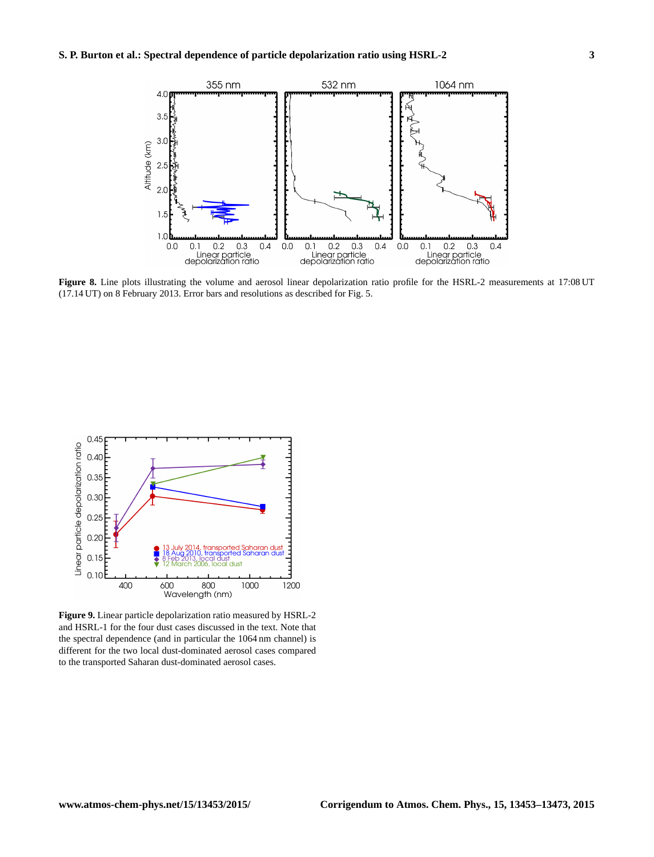

**Figure 8.** Line plots illustrating the volume and aerosol linear depolarization ratio profile for the HSRL-2 measurements at 17:08 UT (17.14 UT) on 8 February 2013. Error bars and resolutions as described for Fig. 5.



**Figure 9.** Linear particle depolarization ratio measured by HSRL-2 and HSRL-1 for the four dust cases discussed in the text. Note that the spectral dependence (and in particular the 1064 nm channel) is different for the two local dust-dominated aerosol cases compared to the transported Saharan dust-dominated aerosol cases.